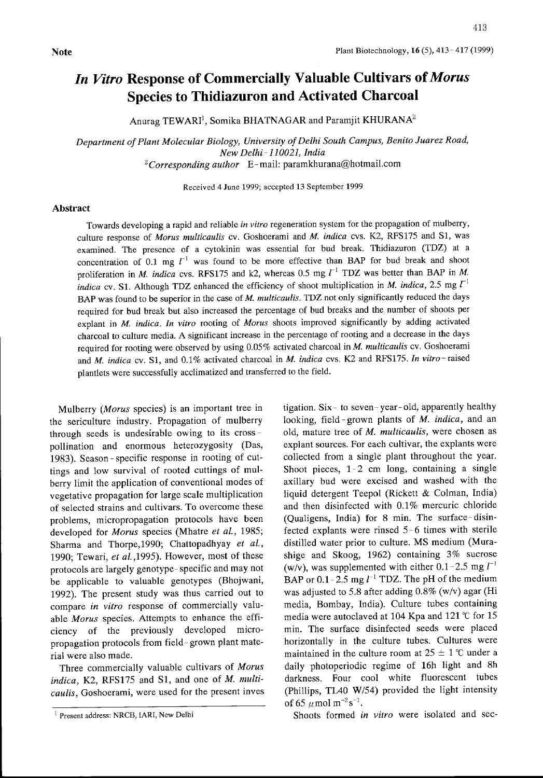## In Vitro Response of Commercially Valuable Cultivars of Morus Species to Thidiazuron and Activated Charcoal

Anurag TEWARI<sup>1</sup>, Somika BHATNAGAR and Paramjit KHURANA<sup>2</sup>

Department of Plant Molecular Biology, University of Delhi South Campus, Benito Juarez Road, New Delhi- 110021, India  $2$ Corresponding author E-mail: paramkhurana@hotmail.com

Received 4June 1999; accepted <sup>13</sup> September 1999

## Abstract

Towards developing a rapid and reliable in vitro regeneration system for the propagation of mulberry, culture response of Morus multicaulis cv. Goshoerami and M. indica cvs. K2, RFS175 and S1, was examined. The presence of a cytokinin was essential for bud break. Thidiazuron (TDZ) at a concentration of 0.1 mg  $I^{-1}$  was found to be more effective than BAP for bud break and shoot proliferation in M. indica cvs. RFS175 and k2, whereas 0.5 mg  $l^{-1}$  TDZ was better than BAP in M. indica cv. S1. Although TDZ enhanced the efficiency of shoot multiplication in M, indica, 2.5 mg  $\Gamma^1$ BAP was found to be superior in the case of M. multicaulis. TDZ not only significantly reduced the days required for bud break but also increased the percentage of bud breaks and the nurnber of shoots per explant in *M. indica. In vitro* rooting of *Morus* shoots improved significantly by adding activated charcoal to culture media. A significant increase in the percentage of rooting and <sup>a</sup> decrease in the days required for rooting were observed by using 0.05% activated charcoal in M. multicaulis cv. Goshoerami and M. indica cv. S1, and 0.1% activated charcoal in M. indica cvs. K2 and RFS175. In vitro-raised plantlets were successfully acclimatized and transferred to the field.

Mulberry (*Morus* species) is an important tree in the sericulture industry. Propagation of mulberry through seeds is undesirable owing to its cross pollination and enormous heterozygosity (Das, 1983). Season - specific response in rooting of cuttings and low survival of rooted cuttings of mulberry limit the application of conventional modes of vegetative propagation for large scale multiplication of selected strains and cultivars. To overcome these problems, micropropagation protocols have been developed for Morus species (Mhatre et al., 1985; Sharma and Thorpe, 1990; Chattopadhyay et al., 1990; Tewari, et al., 1995). However, most of these protocols are largely genotype- specific and may not be applicable to valuable genotypes (Bhojwani, 1992). The present study was thus carried out to compare in vitro response of commercially valuable Morus species. Attempts to enhance the efficiency of the previously developed micropropagation protocols from field- grown plant material were also made.

Three commercially valuable cultivars of Morus indica, K2, RFS175 and S1, and one of M. multicaulis, Goshoerami, were used for the present inves tigation. Six- to seven- year- old, apparently healthy looking, field-grown plants of M. indica, and an old, mature tree of M. multicaulis, were chosen as explant sources. For each cultivar, the explants were collected from a single plant throughout the year. Shoot pieces, 1-2 cm long, containing a single axillary bud were excised and washed with the liquid detergent Teepol (Rickett & Colman, India) and then disinfected with 0.1% mercuric chloride (Qualigens, India) for 8 min. The surface-disinfected explants were rinsed 5-6 times with sterile distilled water prior to culture. MS medium (Murashige and Skoog, 1962) containing 3% sucrose (w/v), was supplemented with either 0.1-2.5 mg  $l^{-1}$ BAP or  $0.1 - 2.5$  mg  $l^{-1}$  TDZ. The pH of the medium was adjusted to 5.8 after adding 0.8% (w/v) agar (Hi media. Bombay, India). Culture tubes containing media were autoclaved at 104 Kpa and 121 'C for 15 min. The surface disinfected seeds were placed horizontally in the culture tubes. Cultures were maintained in the culture room at  $25 \pm 1$  °C under a daily photoperiodic regime of 16h light and 8h darkness. Four cool white fluorescent tubes (Phillips, TL40 W/54) provided the light intensity of 65  $\mu$  mol m<sup>-2</sup>s<sup>-1</sup>.

Shoots formed in vitro were isolated and sec-

<sup>&</sup>lt;sup>1</sup> Present address: NRCB, IARI, New Delhi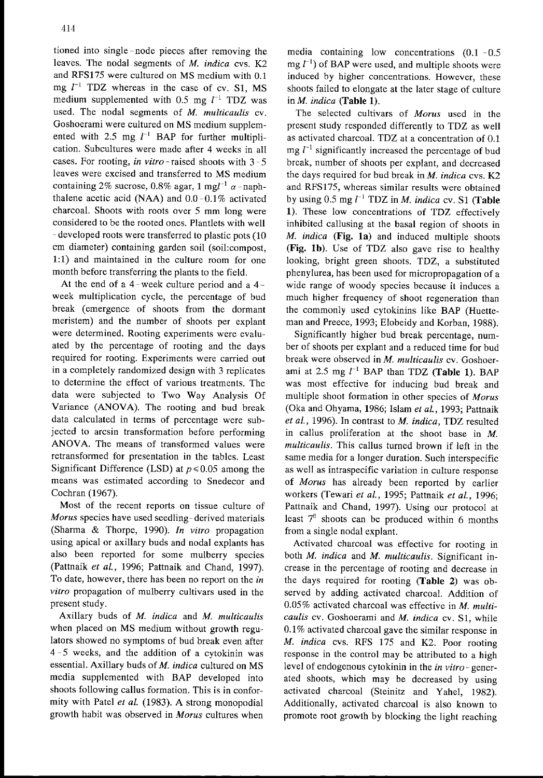tioned into single -node pieces after removing the leaves. The nodal segments of M, indica cvs. K2 and RFS175 were cultured on MS medium with 0.1 mg  $l^{-1}$  TDZ whereas in the case of cv. S1, MS medium supplemented with 0.5 mg  $l^{-1}$  TDZ was used. The nodal segments of M. multicaulis cv. Goshoerami were cultured on MS medium supplemented with 2.5 mg  $l^{-1}$  BAP for further multiplication. Subcultures were made after 4weeks in all cases. For rooting, in vitro-raised shoots with  $3-5$ leaves were excised and transferred to MS medium containing 2% sucrose, 0.8% agar, 1 mgl<sup>-1</sup>  $\alpha$ -naphthalene acetic acid (NAA) and  $0.0-0.1\%$  activated charcoal. Shoots with roots over 5 mm long were considered to be the rooted ones. Plantlets with well - developed roots were transferred to plastic pots (10 cm diameter) containing garden soil (soil:compost, 1:1) and maintained in the culture room for one month before transferring the plants to the field.

At the end of <sup>a</sup> 4-week culture period and <sup>a</sup> 4 week multiplication cycle, the percentage of bud break (emergence of shoots from the dormant meristem) and the number of shoots per explant were determined. Rooting experiments were evaluated by the percentage of rooting and the days required for rooting. Experiments were carried out in a completely randomized design with 3replicates to detennine the effect of various treatments. The data were subjected to Two Way Analysis Of Variance (ANOVA). The rooting and bud break data calculated in terms of percentage were subjected to arcsin transformation before performing ANOVA. The means of transformed values were retransformed for presentation in the tables. Least Significant Difference (LSD) at  $p \le 0.05$  among the means was estimated according to Snedecor and Cochran (1967).

Most of the recent reports on tissue culture of Morus species have used seedling-derived materials (Sharma & Thorpe, 1990). In vitro propagation using apical or axillary buds and nodal explants has also been reported for some mulberry species (Pattnaik et al., 1996; Pattnaik and Chand, 1997). To date, however, there has been no report on the in vitro propagation of mulberry cultivars used in the present study.

Axillary buds of M. indica and M. multicaulis when placed on MS medium without growth regulators showed no symptoms of bud break even after 4- 5 weeks, and the addition of <sup>a</sup> cytokinin was essential. Axillary buds of M. indica cultured on MS media supplemented with BAP developed into shoots following callus formation. This is in conformity with Patel et al. (1983). A strong monopodial growth habit was observed in Morus cultures when media containing low concentrations (0.1 -0.5  $mg l^{-1}$ ) of BAP were used, and multiple shoots were induced by higher concentrations. However, these shoots failed to elongate at the later stage of culture in M. indica (Table 1).

The selected cultivars of Morus used in the present study responded differently to TDZ as well as activated charcoal. TDZ at a concentration of 0.1 mg  $l^{-1}$  significantly increased the percentage of bud break, number of shoots per explant, and decreased the days required for bud break in  $M$ . indica cvs.  $K2$ and RFS175, whereas similar results were obtained by using 0.5 mg  $l^{-1}$  TDZ in *M*, indica cv, S1 (Table 1). These low concentrations of TDZ effectively inhibited callusing at the basal region of shoots in M, indica (Fig. Ia) and induced multiple shoots (Fig. Ib). Use of TDZ also gave rise to healthy looking, bright green shoots. TDZ, a substituted phenylurea, has been used for micropropagation of a wide range of woody species because it induces a much higher frequency of shoot regeneration than the commonly used cytokinins like BAP (Huetteman and Preece, 1993; Elobeidy and Korban, 1988).

Significantly higher bud break percentage, number of shoots per explant and a reduced time for bud break were observed in M. multicaulis cv. Goshoerami at 2.5 mg  $l^{-1}$  BAP than TDZ (Table 1). BAP was most effective for inducing bud break and multiple shoot formation in other species of Morus (Oka and Ohyama, 1986; Islam et al., 1993; Pattnaik et al., 1996). In contrast to M. indica, TDZ resulted in callus proliferation at the shoot base in M. multicaulis. This callus turned brown if left in the same media for a longer duration. Such interspecific as well as intraspecific variation in culture response of Morus has already been reported by earlier workers (Tewari et al., 1995; Pattnaik et al., 1996; Pattnaik and Chand, 1997). Using our protocol at least  $7<sup>6</sup>$  shoots can be produced within 6 months from a single nodal explant.

Activated charcoal was effective for rooting in both M. indica and M. multicaulis. Significant increase in the percentage of rooting and decrease in the days required for rooting (Table 2) was observed by adding activated charcoal. Addition of  $0.05\%$  activated charcoal was effective in M. multicaulis cv. Goshoerami and  $M$ , indica cv. S1, while 0.1% activated charcoal gave the similar response in M. indica cvs. RFS 175 and K2. Poor rooting response in the control may be attributed to a high level of endogenous cytokinin in the *in vitro*-generated shoots, which may be decreased by using activated charcoal (Steinitz and Yahel, 1982). Additionally, activated charcoal is also known to promote root growth by blocking the light reaching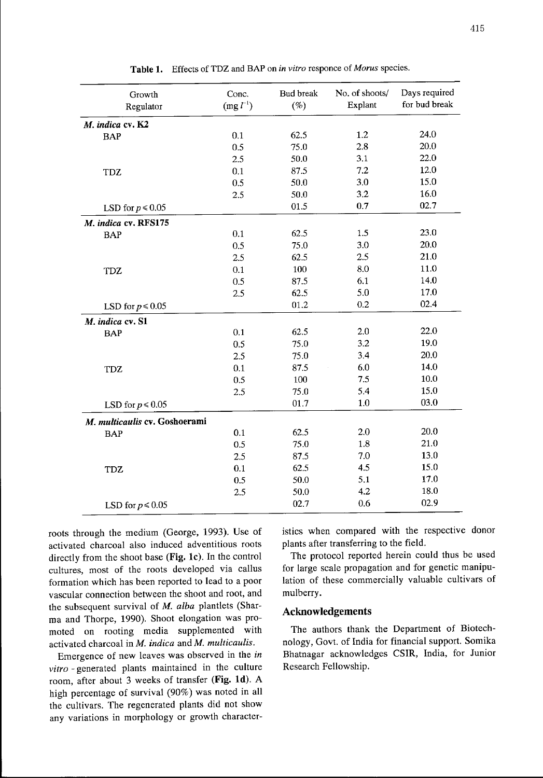| Growth<br>Regulator           | Conc.<br>$(mg l^{-1})$ | <b>Bud break</b><br>$(\%)$ | No. of shoots/<br>Explant | Days required<br>for bud break |  |
|-------------------------------|------------------------|----------------------------|---------------------------|--------------------------------|--|
| M. indica cv. K2              |                        |                            |                           |                                |  |
| <b>BAP</b>                    | 0.1                    | 62.5                       | 1.2                       | 24.0                           |  |
|                               | 0.5                    | 75.0                       | 2.8                       | 20.0                           |  |
|                               | 2.5                    | 50.0                       | 3.1                       | 22.0                           |  |
| <b>TDZ</b>                    | 0.1                    | 87.5                       | 7.2                       | 12.0                           |  |
|                               | 0.5                    | 50.0                       | 3.0                       | 15.0                           |  |
|                               | 2.5                    | 50.0                       | 3.2                       | 16.0                           |  |
| LSD for $p \le 0.05$          |                        | 01.5                       | 0.7                       | 02.7                           |  |
| M. indica cv. RFS175          |                        |                            |                           |                                |  |
| <b>BAP</b>                    | 0.1                    | 62.5                       | 1.5                       | 23.0                           |  |
|                               | 0.5                    | 75.0                       | 3.0                       | 20.0                           |  |
|                               | 2.5                    | 62.5                       | 2.5                       | 21.0                           |  |
| <b>TDZ</b>                    | 0.1                    | 100                        | 8.0                       | 11.0                           |  |
|                               | 0.5                    | 87.5                       | 6.1                       | 14.0                           |  |
|                               | 2.5                    | 62.5                       | 5.0                       | 17.0                           |  |
| LSD for $p\!\leq\!0.05$       |                        | 01.2                       | 0.2                       | 02.4                           |  |
| M. indica cv. S1              |                        |                            |                           |                                |  |
| <b>BAP</b>                    | 0.1                    | 62.5                       | 2.0                       | 22.0                           |  |
|                               | 0.5                    | 75.0                       | 3.2                       | 19.0                           |  |
|                               | 2.5                    | 75.0                       | 3,4                       | 20.0                           |  |
| TDZ                           | 0.1                    | 87.5                       | 6.0                       | 14.0                           |  |
|                               | 0.5                    | 100                        | 7.5                       | 10.0                           |  |
|                               | 2.5                    | 75.0                       | 5.4                       | 15.0                           |  |
| LSD for $p \le 0.05$          |                        | 01.7                       | 1.0                       | 03.0                           |  |
| M. multicaulis cv. Goshoerami |                        |                            |                           |                                |  |
| <b>BAP</b>                    | 0.1                    | 62.5                       | 2.0                       | 20.0                           |  |
|                               | 0.5                    | 75.0                       | 1.8                       | 21.0                           |  |
|                               | 2.5                    | 87.5                       | 7.0                       | 13.0                           |  |
| <b>TDZ</b>                    | 0.1                    | 62.5                       | 4.5                       | 15.0                           |  |
|                               | 0.5                    | 50.0                       | 5.1                       | 17.0                           |  |
|                               | 2.5                    | 50.0                       | 4.2                       | 18.0                           |  |
| LSD for $p \le 0.05$          |                        | 02.7                       | 0.6                       | 02.9                           |  |

Table 1. Effects of TDZ and BAP on in vitro responce of Morus species.

roots through the medium (George, 1993). Use of activated charcoal also induced adventitious roots directly from the shoot base (Fig, Ic). In the control cultures, most of the roots developed via callus formation which has been reported to lead to a poor vascular connection between the shoot and root, and the subsequent survival of M. alba plantlets (Sharma and Thorpe, 1990). Shoot elongation was promoted on rooting media supplemented with activated charcoal in  $M$ . indica and  $M$ . multicaulis.

Emergence of new leaves was observed in the in vitro -generated plants maintained in the culture room, after about 3weeks of transfer (Fig. Id). A high percentage of survival (90%) was noted in all the cultivars. The regenerated plants did not show any variations in morphology or growth characteristics when compared with the respective donor plants after transferring to the field.

The protocol reported herein could thus be used for large scale propagation and for genetic manipulation of these commercially valuable cultivars of mulberry.

## Acknowledgements

The authors thank the Department of Biotechnology, Govt, of India for financial support. Somika Bhatnagar acknowledges CSIR, India, for Junior Research Fellowship.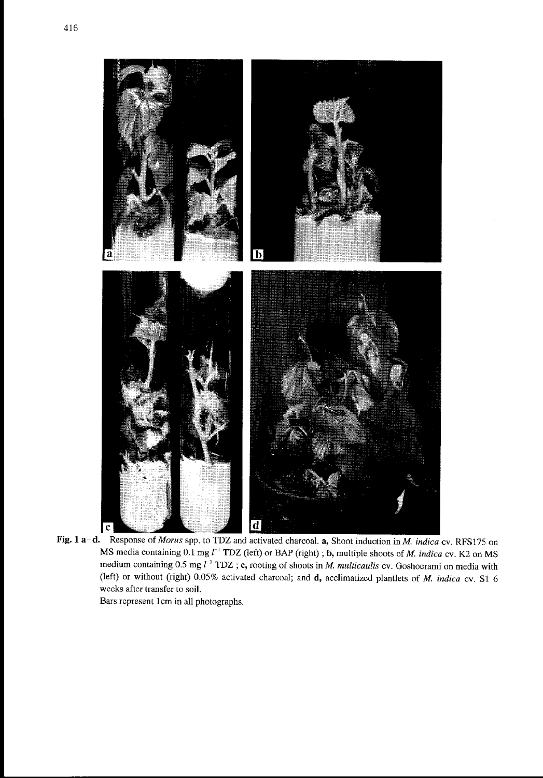

Fig. 1 a-d. Response of Morus spp. to TDZ and activated charcoal. a, Shoot induction in M. indica cv. RFS175 on MS media containing  $0.1 \text{ mg } l^{-1}$  TDZ (left) or BAP (right); **b**, multiple shoots of *M. indica* cv. K2 on MS medium containing  $0.5$  mg  $\tilde{l}^{-1}$  TDZ; c, rooting of shoots in M. multicaulis cv. Goshoerami on media with (left) or without (right) 0.05% activated charcoal; and d, acclimatized plantlets of M. indica cv. S1 6 weeks after transfer to soil.

Bars represent lcm in all photographs.